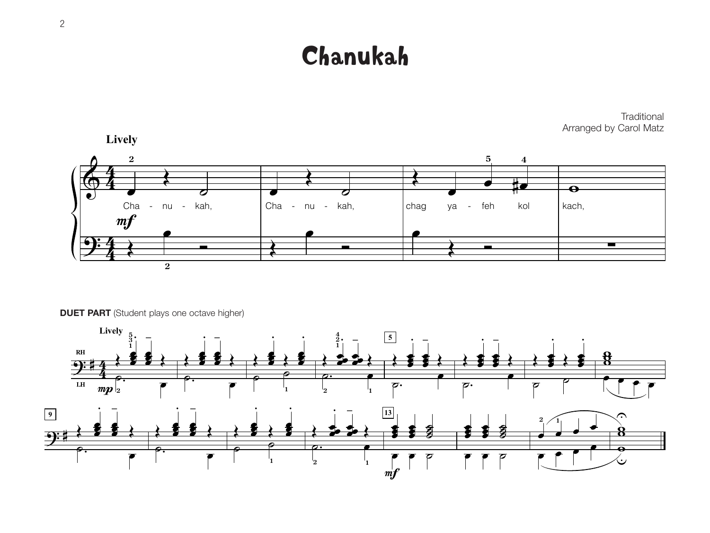# Chanukah



**DUET PART** (Student plays one octave higher)



**Traditional** Arranged by Carol Matz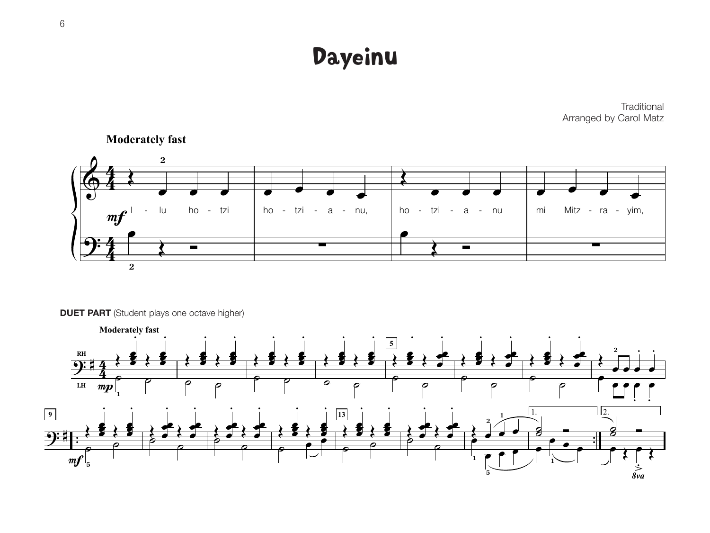Dayeinu

**Traditional** Arranged by Carol Matz



**Moderately fast**

**DUET PART** (Student plays one octave higher)

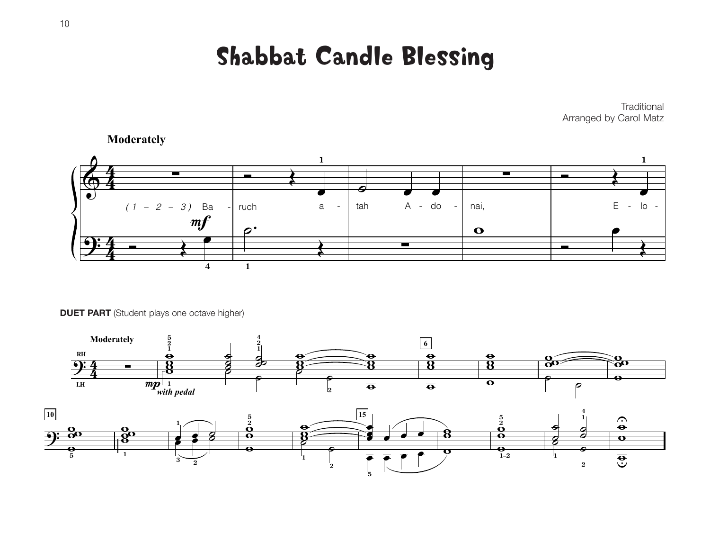Shabbat Candle Blessing

**Traditional** Arranged by Carol Matz



**Moderately**

**DUET PART** (Student plays one octave higher)

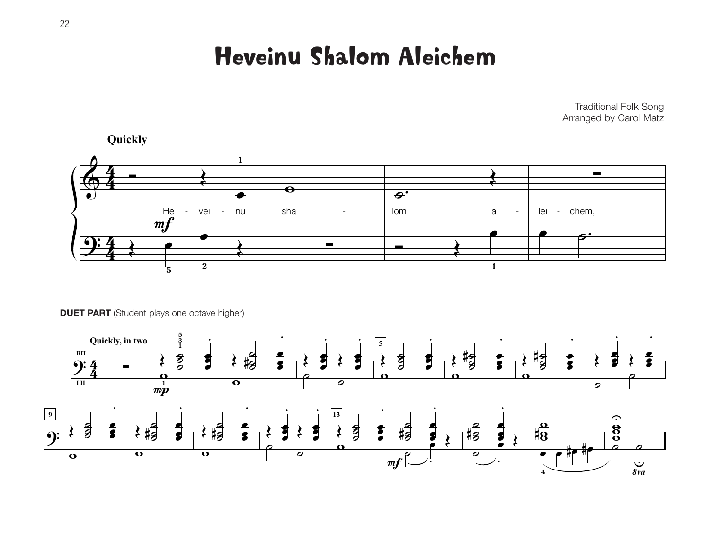Heveinu Shalom Aleichem

Traditional Folk Song Arranged by Carol Matz



**Quickly**

**DUET PART** (Student plays one octave higher)

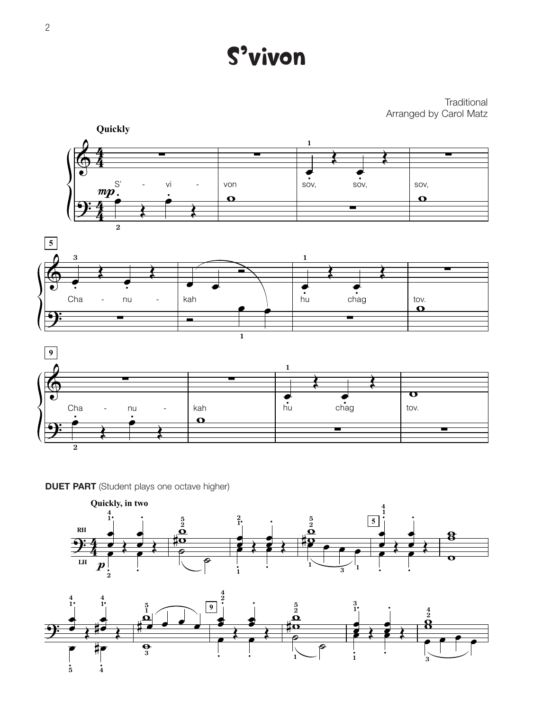S'vivon

#### **Traditional** Arranged by Carol Matz



**DUET PART** (Student plays one octave higher)



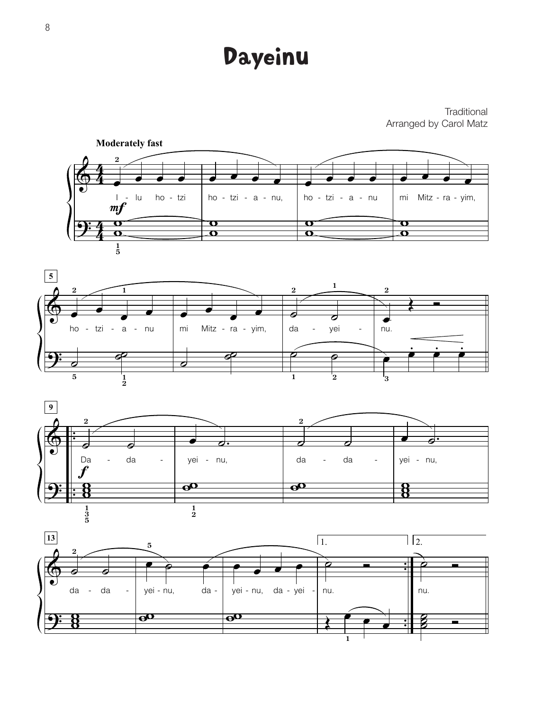### Dayeinu

#### **Traditional** Arranged by Carol Matz







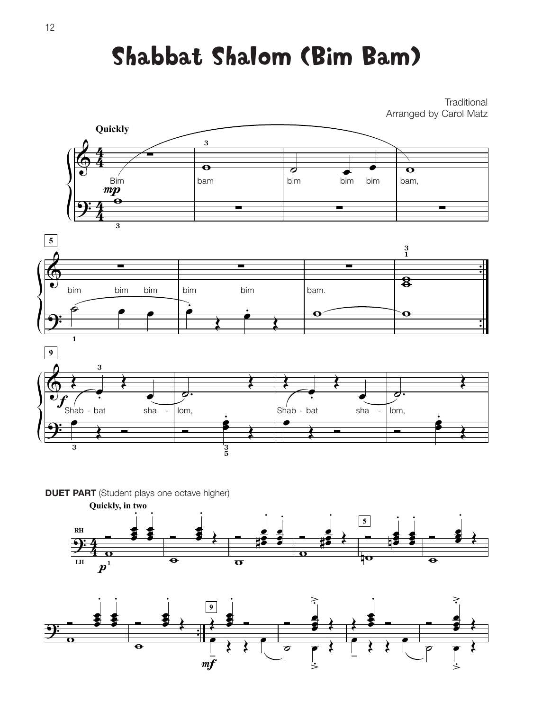# Shabbat Shalom (Bim Bam)

**Traditional** Arranged by Carol Matz



**DUET PART** (Student plays one octave higher)



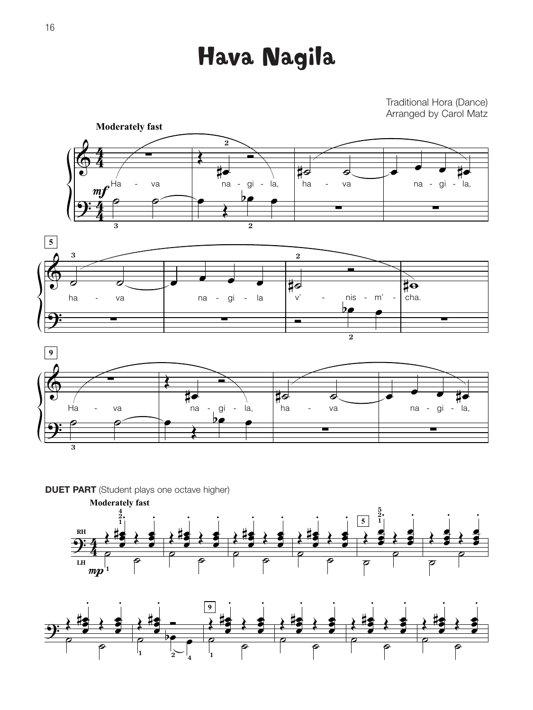# Hava Nagila

### Traditional Hora (Dance) Arranged by Carol Matz



**DUET PART** (Student plays one octave higher)



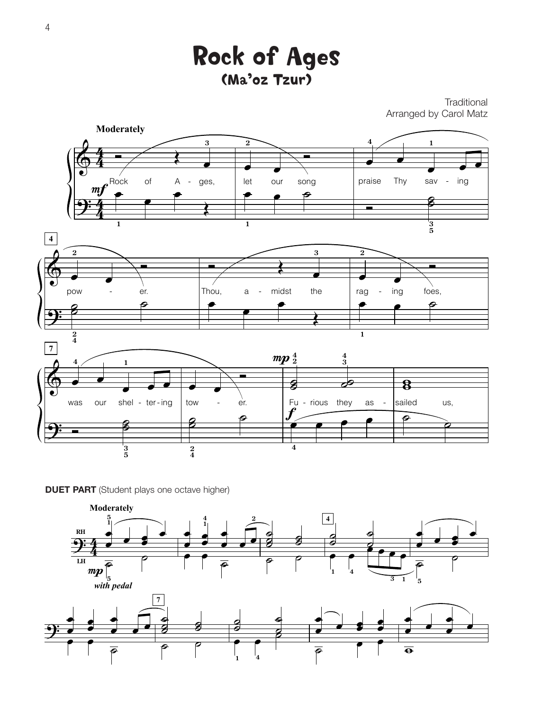

**Traditional** Arranged by Carol Matz



**DUET PART** (Student plays one octave higher)

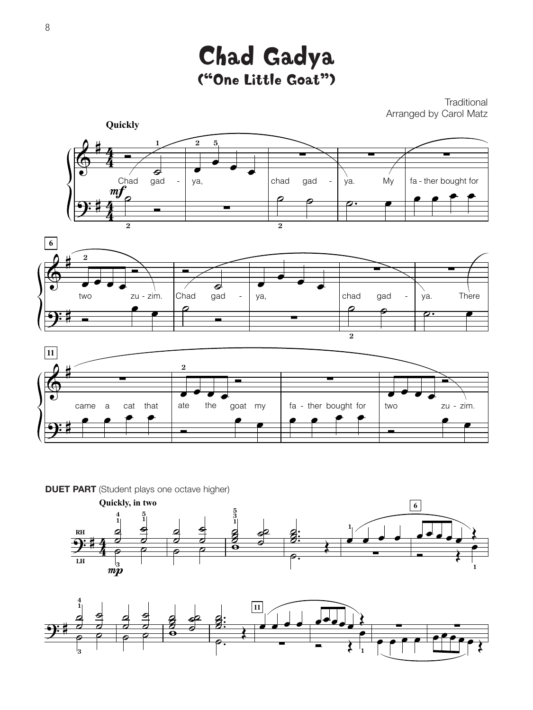Chad Gadya ("One Little Goat")

**Traditional** Arranged by Carol Matz





**DUET PART** (Student plays one octave higher)



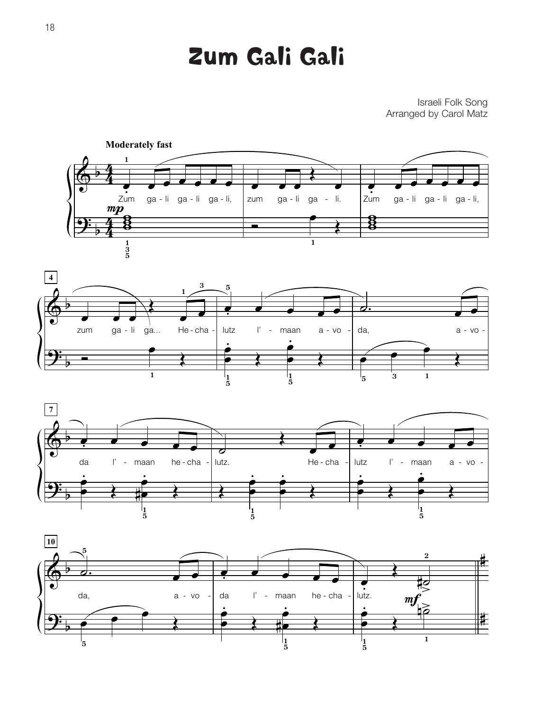## Zum Gali Gali

### Israeli Folk Song Arranged by Carol Matz